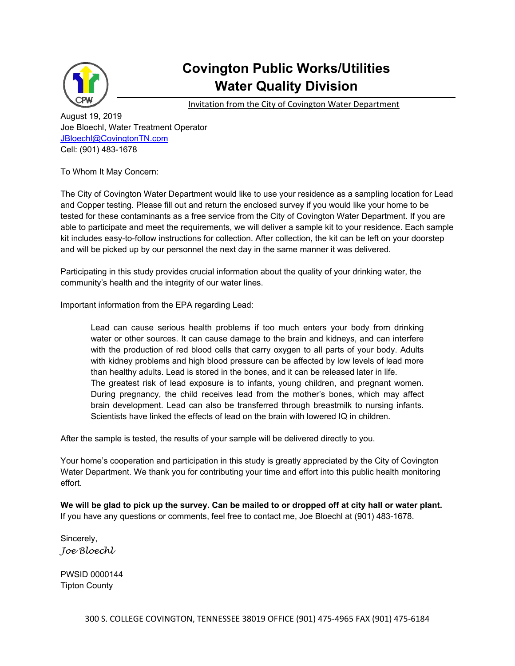

## **Covington Public Works/Utilities Water Quality Division**

Invitation from the City of Covington Water Department

August 19, 2019 Joe Bloechl, Water Treatment Operator JBloechl@CovingtonTN.com Cell: (901) 483-1678

To Whom It May Concern:

The City of Covington Water Department would like to use your residence as a sampling location for Lead and Copper testing. Please fill out and return the enclosed survey if you would like your home to be tested for these contaminants as a free service from the City of Covington Water Department. If you are able to participate and meet the requirements, we will deliver a sample kit to your residence. Each sample kit includes easy-to-follow instructions for collection. After collection, the kit can be left on your doorstep and will be picked up by our personnel the next day in the same manner it was delivered.

Participating in this study provides crucial information about the quality of your drinking water, the community's health and the integrity of our water lines.

Important information from the EPA regarding Lead:

Lead can cause serious health problems if too much enters your body from drinking water or other sources. It can cause damage to the brain and kidneys, and can interfere with the production of red blood cells that carry oxygen to all parts of your body. Adults with kidney problems and high blood pressure can be affected by low levels of lead more than healthy adults. Lead is stored in the bones, and it can be released later in life. The greatest risk of lead exposure is to infants, young children, and pregnant women. During pregnancy, the child receives lead from the mother's bones, which may affect brain development. Lead can also be transferred through breastmilk to nursing infants. Scientists have linked the effects of lead on the brain with lowered IQ in children.

After the sample is tested, the results of your sample will be delivered directly to you.

Your home's cooperation and participation in this study is greatly appreciated by the City of Covington Water Department. We thank you for contributing your time and effort into this public health monitoring effort.

**We will be glad to pick up the survey. Can be mailed to or dropped off at city hall or water plant.**  If you have any questions or comments, feel free to contact me, Joe Bloechl at (901) 483-1678.

Sincerely, *Joe Bloechl* 

PWSID 0000144 Tipton County